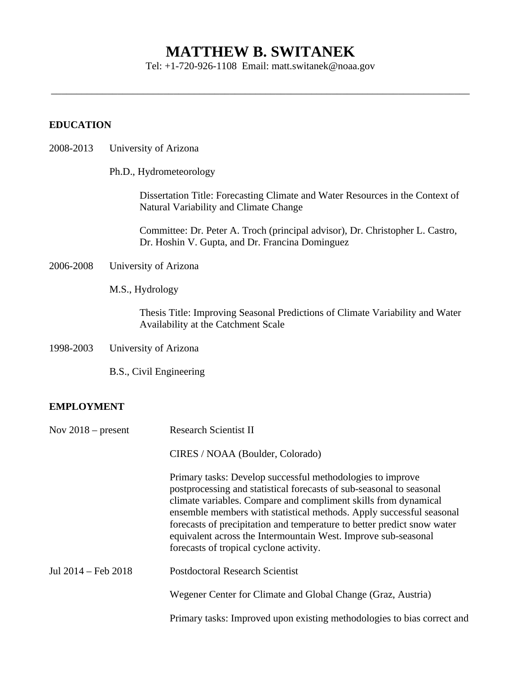# **MATTHEW B. SWITANEK**

Tel: +1-720-926-1108 Email: matt.switanek@noaa.gov

\_\_\_\_\_\_\_\_\_\_\_\_\_\_\_\_\_\_\_\_\_\_\_\_\_\_\_\_\_\_\_\_\_\_\_\_\_\_\_\_\_\_\_\_\_\_\_\_\_\_\_\_\_\_\_\_\_\_\_\_\_\_\_\_\_\_\_\_\_\_\_\_\_\_\_\_\_\_\_\_\_\_

#### **EDUCATION**

- 2008-2013 University of Arizona
	- Ph.D., Hydrometeorology

Dissertation Title: Forecasting Climate and Water Resources in the Context of Natural Variability and Climate Change

Committee: Dr. Peter A. Troch (principal advisor), Dr. Christopher L. Castro, Dr. Hoshin V. Gupta, and Dr. Francina Dominguez

- 2006-2008 University of Arizona
	- M.S., Hydrology

Thesis Title: Improving Seasonal Predictions of Climate Variability and Water Availability at the Catchment Scale

1998-2003 University of Arizona

B.S., Civil Engineering

#### **EMPLOYMENT**

| Nov $2018$ – present | <b>Research Scientist II</b>                                                                                                                                                                                                                                                                                                                                                                                                                                          |
|----------------------|-----------------------------------------------------------------------------------------------------------------------------------------------------------------------------------------------------------------------------------------------------------------------------------------------------------------------------------------------------------------------------------------------------------------------------------------------------------------------|
|                      | CIRES / NOAA (Boulder, Colorado)                                                                                                                                                                                                                                                                                                                                                                                                                                      |
|                      | Primary tasks: Develop successful methodologies to improve<br>postprocessing and statistical forecasts of sub-seasonal to seasonal<br>climate variables. Compare and compliment skills from dynamical<br>ensemble members with statistical methods. Apply successful seasonal<br>forecasts of precipitation and temperature to better predict snow water<br>equivalent across the Intermountain West. Improve sub-seasonal<br>forecasts of tropical cyclone activity. |
| Jul 2014 – Feb 2018  | <b>Postdoctoral Research Scientist</b>                                                                                                                                                                                                                                                                                                                                                                                                                                |
|                      | Wegener Center for Climate and Global Change (Graz, Austria)                                                                                                                                                                                                                                                                                                                                                                                                          |
|                      | Primary tasks: Improved upon existing methodologies to bias correct and                                                                                                                                                                                                                                                                                                                                                                                               |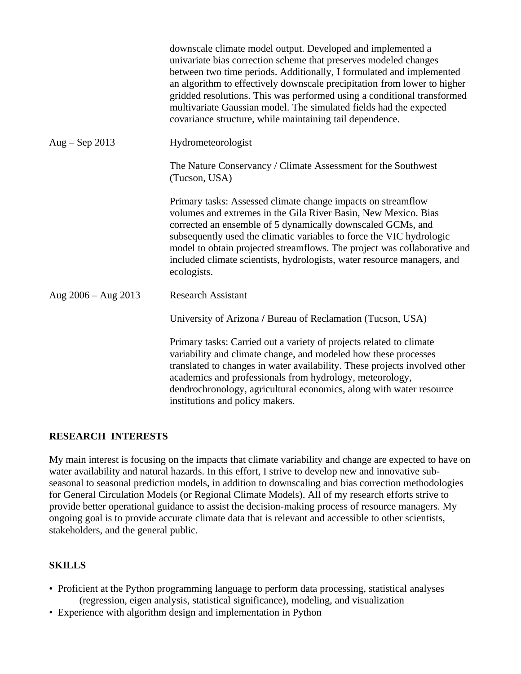|                       | downscale climate model output. Developed and implemented a<br>univariate bias correction scheme that preserves modeled changes<br>between two time periods. Additionally, I formulated and implemented<br>an algorithm to effectively downscale precipitation from lower to higher<br>gridded resolutions. This was performed using a conditional transformed<br>multivariate Gaussian model. The simulated fields had the expected<br>covariance structure, while maintaining tail dependence. |
|-----------------------|--------------------------------------------------------------------------------------------------------------------------------------------------------------------------------------------------------------------------------------------------------------------------------------------------------------------------------------------------------------------------------------------------------------------------------------------------------------------------------------------------|
| Aug – Sep 2013        | Hydrometeorologist                                                                                                                                                                                                                                                                                                                                                                                                                                                                               |
|                       | The Nature Conservancy / Climate Assessment for the Southwest<br>(Tucson, USA)                                                                                                                                                                                                                                                                                                                                                                                                                   |
|                       | Primary tasks: Assessed climate change impacts on streamflow<br>volumes and extremes in the Gila River Basin, New Mexico. Bias<br>corrected an ensemble of 5 dynamically downscaled GCMs, and<br>subsequently used the climatic variables to force the VIC hydrologic<br>model to obtain projected streamflows. The project was collaborative and<br>included climate scientists, hydrologists, water resource managers, and<br>ecologists.                                                      |
| Aug $2006 - Aug 2013$ | <b>Research Assistant</b>                                                                                                                                                                                                                                                                                                                                                                                                                                                                        |
|                       | University of Arizona / Bureau of Reclamation (Tucson, USA)                                                                                                                                                                                                                                                                                                                                                                                                                                      |
|                       | Primary tasks: Carried out a variety of projects related to climate<br>variability and climate change, and modeled how these processes<br>translated to changes in water availability. These projects involved other<br>academics and professionals from hydrology, meteorology,<br>dendrochronology, agricultural economics, along with water resource<br>institutions and policy makers.                                                                                                       |

## **RESEARCH INTERESTS**

My main interest is focusing on the impacts that climate variability and change are expected to have on water availability and natural hazards. In this effort, I strive to develop new and innovative subseasonal to seasonal prediction models, in addition to downscaling and bias correction methodologies for General Circulation Models (or Regional Climate Models). All of my research efforts strive to provide better operational guidance to assist the decision-making process of resource managers. My ongoing goal is to provide accurate climate data that is relevant and accessible to other scientists, stakeholders, and the general public.

# **SKILLS**

- Proficient at the Python programming language to perform data processing, statistical analyses (regression, eigen analysis, statistical significance), modeling, and visualization
- Experience with algorithm design and implementation in Python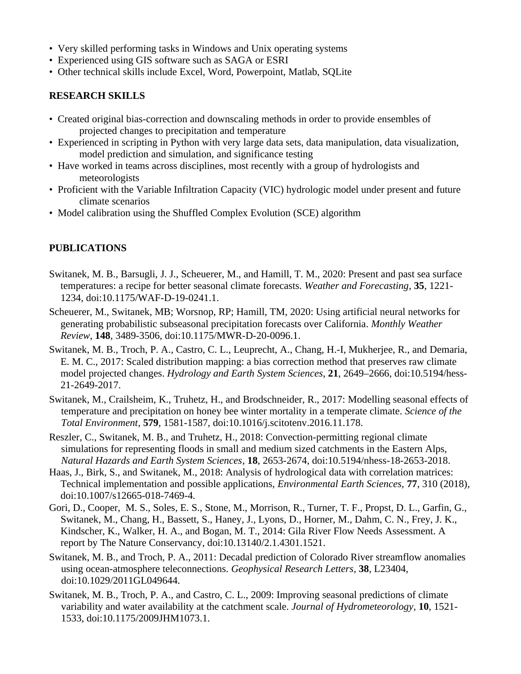- Very skilled performing tasks in Windows and Unix operating systems
- Experienced using GIS software such as SAGA or ESRI
- Other technical skills include Excel, Word, Powerpoint, Matlab, SQLite

## **RESEARCH SKILLS**

- Created original bias-correction and downscaling methods in order to provide ensembles of projected changes to precipitation and temperature
- Experienced in scripting in Python with very large data sets, data manipulation, data visualization, model prediction and simulation, and significance testing
- Have worked in teams across disciplines, most recently with a group of hydrologists and meteorologists
- Proficient with the Variable Infiltration Capacity (VIC) hydrologic model under present and future climate scenarios
- Model calibration using the Shuffled Complex Evolution (SCE) algorithm

# **PUBLICATIONS**

- Switanek, M. B., Barsugli, J. J., Scheuerer, M., and Hamill, T. M., 2020: Present and past sea surface temperatures: a recipe for better seasonal climate forecasts. *Weather and Forecasting*, **35**, 1221- 1234, doi:10.1175/WAF-D-19-0241.1.
- Scheuerer, M., Switanek, MB; Worsnop, RP; Hamill, TM, 2020: Using artificial neural networks for generating probabilistic subseasonal precipitation forecasts over California. *Monthly Weather Review*, **148**, 3489-3506, doi:10.1175/MWR-D-20-0096.1.
- Switanek, M. B., Troch, P. A., Castro, C. L., Leuprecht, A., Chang, H.-I, Mukherjee, R., and Demaria, E. M. C., 2017: Scaled distribution mapping: a bias correction method that preserves raw climate model projected changes. *Hydrology and Earth System Sciences*, **21**, 2649–2666, doi:10.5194/hess-21-2649-2017.
- Switanek, M., Crailsheim, K., Truhetz, H., and Brodschneider, R., 2017: Modelling seasonal effects of temperature and precipitation on honey bee winter mortality in a temperate climate. *Science of the Total Environment*, **579**, 1581-1587, doi:10.1016/j.scitotenv.2016.11.178.
- Reszler, C., Switanek, M. B., and Truhetz, H., 2018: Convection-permitting regional climate simulations for representing floods in small and medium sized catchments in the Eastern Alps, *Natural Hazards and Earth System Sciences*, **18**, 2653-2674, doi:10.5194/nhess-18-2653-2018.
- Haas, J., Birk, S., and Switanek, M., 2018: Analysis of hydrological data with correlation matrices: Technical implementation and possible applications, *Environmental Earth Sciences,* **77**, 310 (2018), doi:10.1007/s12665-018-7469-4*.*
- Gori, D., Cooper, M. S., Soles, E. S., Stone, M., Morrison, R., Turner, T. F., Propst, D. L., Garfin, G., Switanek, M., Chang, H., Bassett, S., Haney, J., Lyons, D., Horner, M., Dahm, C. N., Frey, J. K., Kindscher, K., Walker, H. A., and Bogan, M. T., 2014: Gila River Flow Needs Assessment. A report by The Nature Conservancy, doi:10.13140/2.1.4301.1521.
- Switanek, M. B., and Troch, P. A., 2011: Decadal prediction of Colorado River streamflow anomalies using ocean-atmosphere teleconnections. *Geophysical Research Letters*, **38**, L23404, doi:10.1029/2011GL049644.
- Switanek, M. B., Troch, P. A., and Castro, C. L., 2009: Improving seasonal predictions of climate variability and water availability at the catchment scale. *Journal of Hydrometeorology*, **10**, 1521- 1533, doi:10.1175/2009JHM1073.1.